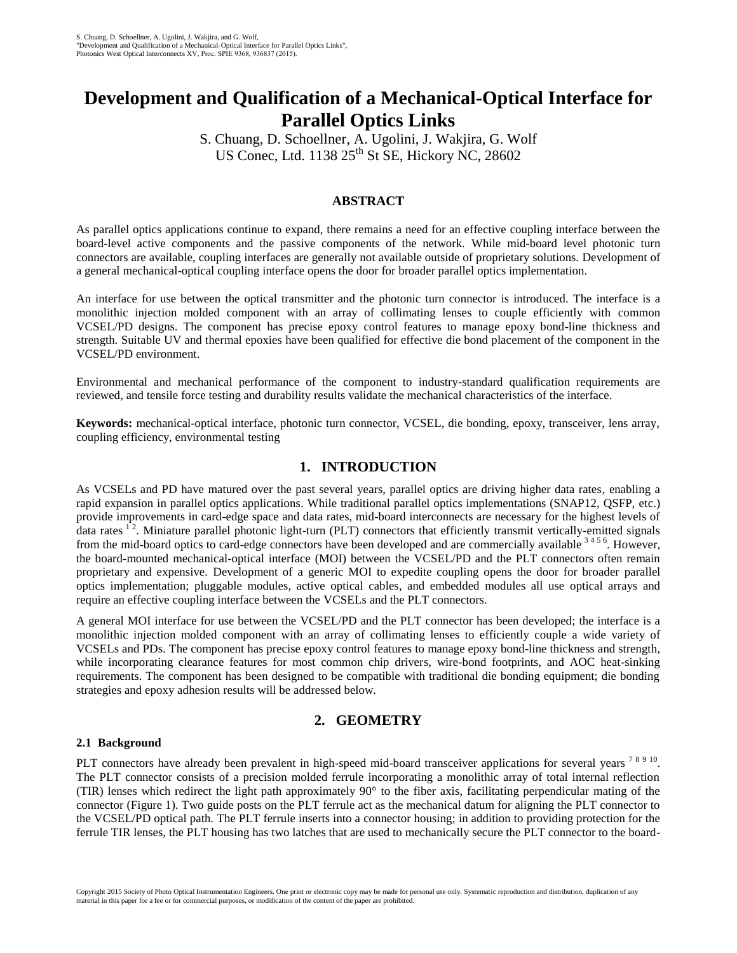# **Development and Qualification of a Mechanical-Optical Interface for Parallel Optics Links**

S. Chuang, D. Schoellner, A. Ugolini, J. Wakjira, G. Wolf US Conec, Ltd.  $1138\ 25$ <sup>th</sup> St SE, Hickory NC, 28602

## **ABSTRACT**

As parallel optics applications continue to expand, there remains a need for an effective coupling interface between the board-level active components and the passive components of the network. While mid-board level photonic turn connectors are available, coupling interfaces are generally not available outside of proprietary solutions. Development of a general mechanical-optical coupling interface opens the door for broader parallel optics implementation.

An interface for use between the optical transmitter and the photonic turn connector is introduced. The interface is a monolithic injection molded component with an array of collimating lenses to couple efficiently with common VCSEL/PD designs. The component has precise epoxy control features to manage epoxy bond-line thickness and strength. Suitable UV and thermal epoxies have been qualified for effective die bond placement of the component in the VCSEL/PD environment.

Environmental and mechanical performance of the component to industry-standard qualification requirements are reviewed, and tensile force testing and durability results validate the mechanical characteristics of the interface.

**Keywords:** mechanical-optical interface, photonic turn connector, VCSEL, die bonding, epoxy, transceiver, lens array, coupling efficiency, environmental testing

# **1. INTRODUCTION**

As VCSELs and PD have matured over the past several years, parallel optics are driving higher data rates, enabling a rapid expansion in parallel optics applications. While traditional parallel optics implementations (SNAP12, QSFP, etc.) provide improvements in card-edge space and data rates, mid-board interconnects are necessary for the highest levels of data rates  $1^2$ . Miniature parallel photonic light-turn (PLT) connectors that efficiently transmit vertically-emitted signals from the mid-board optics to card-edge connectors have been developed and are commercially available <sup>3456</sup>. However, the board-mounted mechanical-optical interface (MOI) between the VCSEL/PD and the PLT connectors often remain proprietary and expensive. Development of a generic MOI to expedite coupling opens the door for broader parallel optics implementation; pluggable modules, active optical cables, and embedded modules all use optical arrays and require an effective coupling interface between the VCSELs and the PLT connectors.

A general MOI interface for use between the VCSEL/PD and the PLT connector has been developed; the interface is a monolithic injection molded component with an array of collimating lenses to efficiently couple a wide variety of VCSELs and PDs. The component has precise epoxy control features to manage epoxy bond-line thickness and strength, while incorporating clearance features for most common chip drivers, wire-bond footprints, and AOC heat-sinking requirements. The component has been designed to be compatible with traditional die bonding equipment; die bonding strategies and epoxy adhesion results will be addressed below.

# **2. GEOMETRY**

## **2.1 Background**

PLT connectors have already been prevalent in high-speed mid-board transceiver applications for several years<sup>78910</sup>. The PLT connector consists of a precision molded ferrule incorporating a monolithic array of total internal reflection (TIR) lenses which redirect the light path approximately  $90^\circ$  to the fiber axis, facilitating perpendicular mating of the connector (Figure 1). Two guide posts on the PLT ferrule act as the mechanical datum for aligning the PLT connector to the VCSEL/PD optical path. The PLT ferrule inserts into a connector housing; in addition to providing protection for the ferrule TIR lenses, the PLT housing has two latches that are used to mechanically secure the PLT connector to the board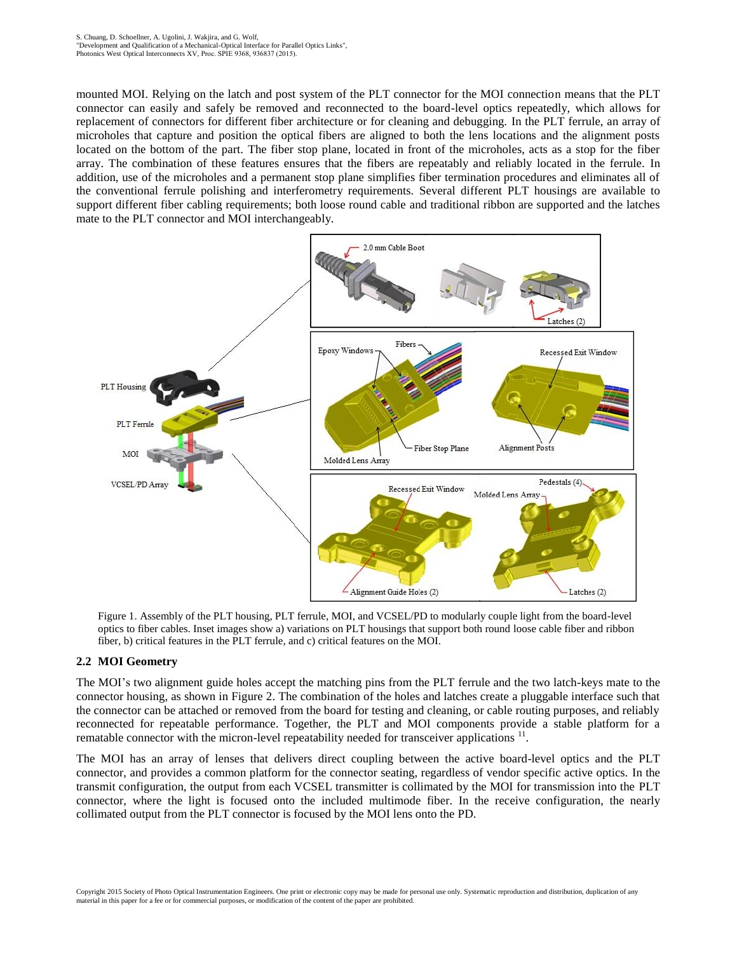mounted MOI. Relying on the latch and post system of the PLT connector for the MOI connection means that the PLT connector can easily and safely be removed and reconnected to the board-level optics repeatedly, which allows for replacement of connectors for different fiber architecture or for cleaning and debugging. In the PLT ferrule, an array of microholes that capture and position the optical fibers are aligned to both the lens locations and the alignment posts located on the bottom of the part. The fiber stop plane, located in front of the microholes, acts as a stop for the fiber array. The combination of these features ensures that the fibers are repeatably and reliably located in the ferrule. In addition, use of the microholes and a permanent stop plane simplifies fiber termination procedures and eliminates all of the conventional ferrule polishing and interferometry requirements. Several different PLT housings are available to support different fiber cabling requirements; both loose round cable and traditional ribbon are supported and the latches mate to the PLT connector and MOI interchangeably.



Figure 1. Assembly of the PLT housing, PLT ferrule, MOI, and VCSEL/PD to modularly couple light from the board-level optics to fiber cables. Inset images show a) variations on PLT housings that support both round loose cable fiber and ribbon fiber, b) critical features in the PLT ferrule, and c) critical features on the MOI.

## **2.2 MOI Geometry**

The MOI's two alignment guide holes accept the matching pins from the PLT ferrule and the two latch-keys mate to the connector housing, as shown in Figure 2. The combination of the holes and latches create a pluggable interface such that the connector can be attached or removed from the board for testing and cleaning, or cable routing purposes, and reliably reconnected for repeatable performance. Together, the PLT and MOI components provide a stable platform for a rematable connector with the micron-level repeatability needed for transceiver applications<sup>11</sup>.

The MOI has an array of lenses that delivers direct coupling between the active board-level optics and the PLT connector, and provides a common platform for the connector seating, regardless of vendor specific active optics. In the transmit configuration, the output from each VCSEL transmitter is collimated by the MOI for transmission into the PLT connector, where the light is focused onto the included multimode fiber. In the receive configuration, the nearly collimated output from the PLT connector is focused by the MOI lens onto the PD.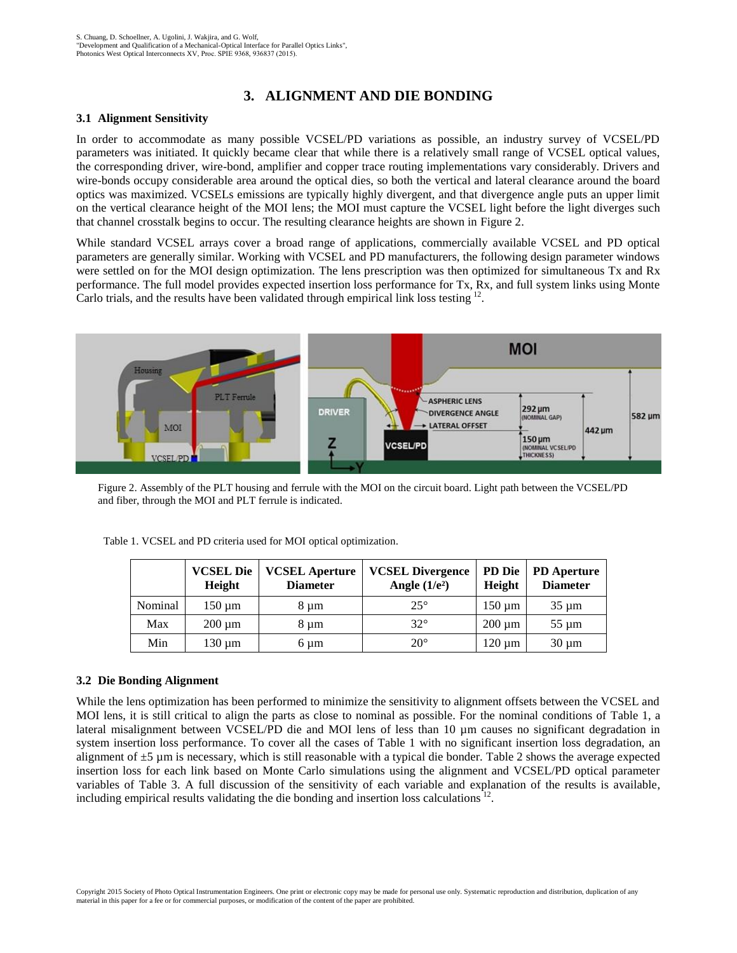# **3. ALIGNMENT AND DIE BONDING**

#### **3.1 Alignment Sensitivity**

In order to accommodate as many possible VCSEL/PD variations as possible, an industry survey of VCSEL/PD parameters was initiated. It quickly became clear that while there is a relatively small range of VCSEL optical values, the corresponding driver, wire-bond, amplifier and copper trace routing implementations vary considerably. Drivers and wire-bonds occupy considerable area around the optical dies, so both the vertical and lateral clearance around the board optics was maximized. VCSELs emissions are typically highly divergent, and that divergence angle puts an upper limit on the vertical clearance height of the MOI lens; the MOI must capture the VCSEL light before the light diverges such that channel crosstalk begins to occur. The resulting clearance heights are shown in Figure 2.

While standard VCSEL arrays cover a broad range of applications, commercially available VCSEL and PD optical parameters are generally similar. Working with VCSEL and PD manufacturers, the following design parameter windows were settled on for the MOI design optimization. The lens prescription was then optimized for simultaneous Tx and Rx performance. The full model provides expected insertion loss performance for Tx, Rx, and full system links using Monte Carlo trials, and the results have been validated through empirical link loss testing  $12$ .



Figure 2. Assembly of the PLT housing and ferrule with the MOI on the circuit board. Light path between the VCSEL/PD and fiber, through the MOI and PLT ferrule is indicated.

|         | <b>VCSEL Die</b><br>Height | <b>VCSEL Aperture</b><br><b>Diameter</b> | <b>VCSEL Divergence</b><br>Angle $(1/e^2)$ | Height      | PD Die   PD Aperture<br><b>Diameter</b> |
|---------|----------------------------|------------------------------------------|--------------------------------------------|-------------|-----------------------------------------|
| Nominal | $150 \mu m$                | 8 um                                     | $25^{\circ}$                               | $150 \mu m$ | $35 \mu m$                              |
| Max     | $200 \mu m$                | 8 um                                     | $32^\circ$                                 | $200 \mu m$ | $55 \mu m$                              |
| Min     | $130 \mu m$                | 6 um                                     | $20^{\circ}$                               | $120 \mu m$ | $30 \mu m$                              |

Table 1. VCSEL and PD criteria used for MOI optical optimization.

#### **3.2 Die Bonding Alignment**

While the lens optimization has been performed to minimize the sensitivity to alignment offsets between the VCSEL and MOI lens, it is still critical to align the parts as close to nominal as possible. For the nominal conditions of Table 1, a lateral misalignment between VCSEL/PD die and MOI lens of less than 10 µm causes no significant degradation in system insertion loss performance. To cover all the cases of Table 1 with no significant insertion loss degradation, an alignment of  $\pm 5$  µm is necessary, which is still reasonable with a typical die bonder. Table 2 shows the average expected insertion loss for each link based on Monte Carlo simulations using the alignment and VCSEL/PD optical parameter variables of Table 3. A full discussion of the sensitivity of each variable and explanation of the results is available, including empirical results validating the die bonding and insertion loss calculations<sup>12</sup>.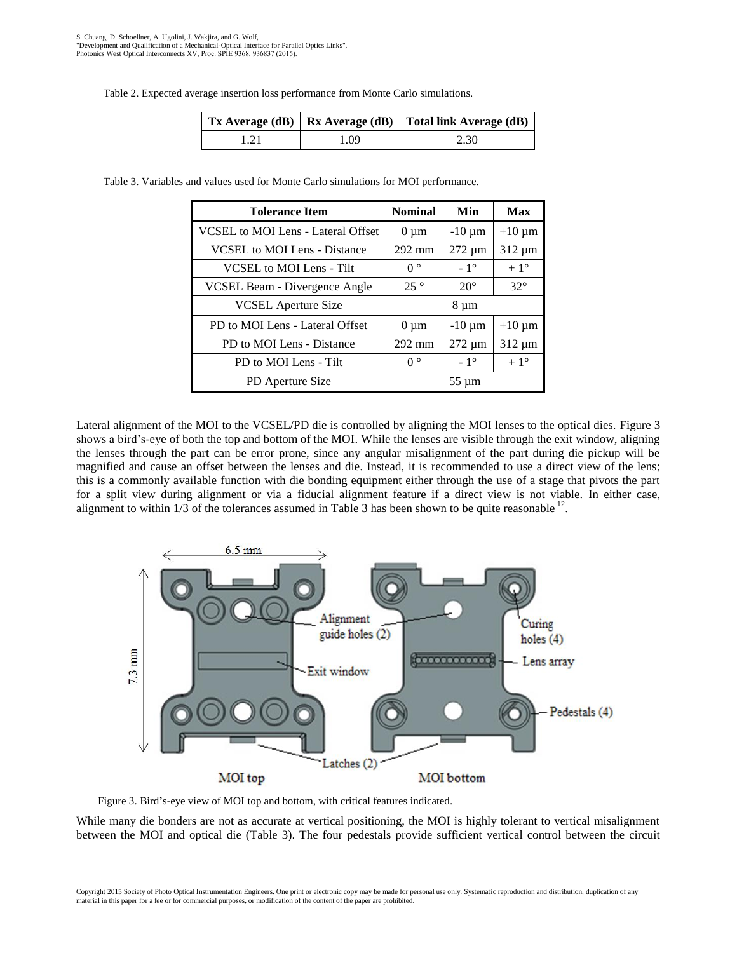Table 2. Expected average insertion loss performance from Monte Carlo simulations.

|      |      | $\vert$ Tx Average (dB) $\vert$ Rx Average (dB) $\vert$ Total link Average (dB) |  |
|------|------|---------------------------------------------------------------------------------|--|
| 1.21 | 1.09 | 2.30                                                                            |  |

Table 3. Variables and values used for Monte Carlo simulations for MOI performance.

| <b>Tolerance Item</b>                     | <b>Nominal</b>   | Min          | Max          |
|-------------------------------------------|------------------|--------------|--------------|
| <b>VCSEL</b> to MOI Lens - Lateral Offset | $0 \mu m$        | $-10 \mu m$  | $+10 \mu m$  |
| <b>VCSEL</b> to MOI Lens - Distance       | $292 \text{ mm}$ | $272 \mu m$  | $312 \mu m$  |
| VCSEL to MOI Lens - Tilt                  | $0^{\circ}$      | $-1^\circ$   | $+1^\circ$   |
| VCSEL Beam - Divergence Angle             | $25^{\circ}$     | $20^{\circ}$ | $32^\circ$   |
| <b>VCSEL</b> Aperture Size                | 8 µm             |              |              |
| PD to MOI Lens - Lateral Offset           | $0 \mu m$        | $-10 \mu m$  | $+10 \mu m$  |
| PD to MOI Lens - Distance                 | $292 \text{ mm}$ | $272 \mu m$  | $312 \mu m$  |
| PD to MOI Lens - Tilt                     | $0^{\circ}$      | $-1^\circ$   | $+1^{\circ}$ |
| PD Aperture Size                          | $55 \mu m$       |              |              |

Lateral alignment of the MOI to the VCSEL/PD die is controlled by aligning the MOI lenses to the optical dies. Figure 3 shows a bird's-eye of both the top and bottom of the MOI. While the lenses are visible through the exit window, aligning the lenses through the part can be error prone, since any angular misalignment of the part during die pickup will be magnified and cause an offset between the lenses and die. Instead, it is recommended to use a direct view of the lens; this is a commonly available function with die bonding equipment either through the use of a stage that pivots the part for a split view during alignment or via a fiducial alignment feature if a direct view is not viable. In either case, alignment to within  $1/3$  of the tolerances assumed in Table 3 has been shown to be quite reasonable  $12$ .



Figure 3. Bird's-eye view of MOI top and bottom, with critical features indicated.

While many die bonders are not as accurate at vertical positioning, the MOI is highly tolerant to vertical misalignment between the MOI and optical die (Table 3). The four pedestals provide sufficient vertical control between the circuit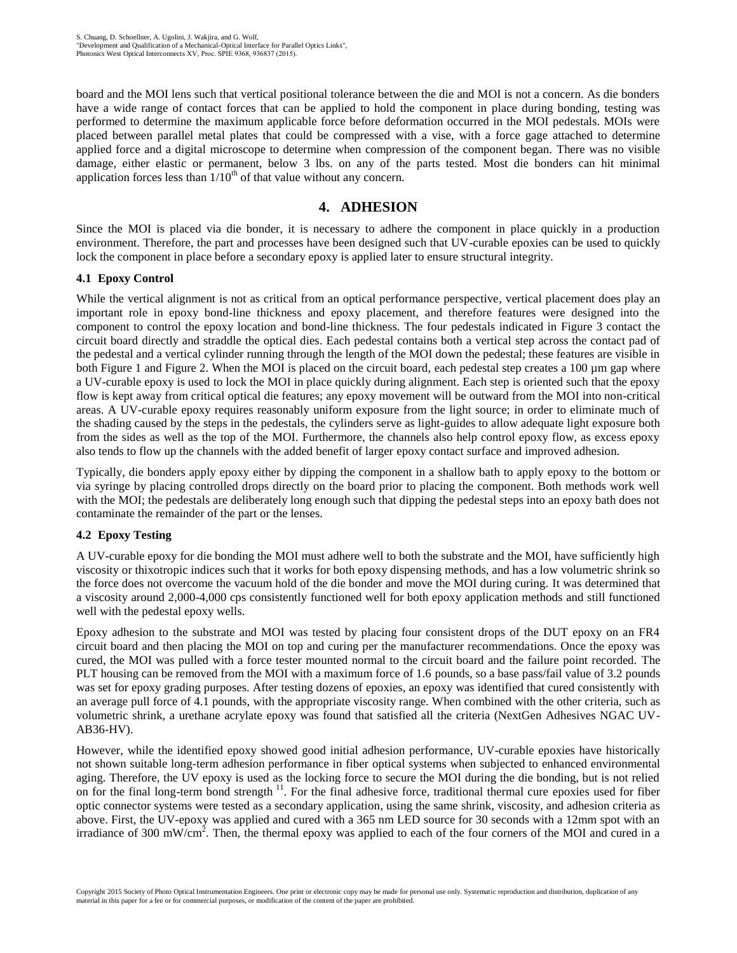board and the MOI lens such that vertical positional tolerance between the die and MOI is not a concern. As die bonders have a wide range of contact forces that can be applied to hold the component in place during bonding, testing was performed to determine the maximum applicable force before deformation occurred in the MOI pedestals. MOIs were placed between parallel metal plates that could be compressed with a vise, with a force gage attached to determine applied force and a digital microscope to determine when compression of the component began. There was no visible damage, either elastic or permanent, below 3 lbs. on any of the parts tested. Most die bonders can hit minimal application forces less than  $1/10<sup>th</sup>$  of that value without any concern.

# **4. ADHESION**

Since the MOI is placed via die bonder, it is necessary to adhere the component in place quickly in a production environment. Therefore, the part and processes have been designed such that UV-curable epoxies can be used to quickly lock the component in place before a secondary epoxy is applied later to ensure structural integrity.

# **4.1 Epoxy Control**

While the vertical alignment is not as critical from an optical performance perspective, vertical placement does play an important role in epoxy bond-line thickness and epoxy placement, and therefore features were designed into the component to control the epoxy location and bond-line thickness. The four pedestals indicated in Figure 3 contact the circuit board directly and straddle the optical dies. Each pedestal contains both a vertical step across the contact pad of the pedestal and a vertical cylinder running through the length of the MOI down the pedestal; these features are visible in both Figure 1 and Figure 2. When the MOI is placed on the circuit board, each pedestal step creates a 100 µm gap where a UV-curable epoxy is used to lock the MOI in place quickly during alignment. Each step is oriented such that the epoxy flow is kept away from critical optical die features; any epoxy movement will be outward from the MOI into non-critical areas. A UV-curable epoxy requires reasonably uniform exposure from the light source; in order to eliminate much of the shading caused by the steps in the pedestals, the cylinders serve as light-guides to allow adequate light exposure both from the sides as well as the top of the MOI. Furthermore, the channels also help control epoxy flow, as excess epoxy also tends to flow up the channels with the added benefit of larger epoxy contact surface and improved adhesion.

Typically, die bonders apply epoxy either by dipping the component in a shallow bath to apply epoxy to the bottom or via syringe by placing controlled drops directly on the board prior to placing the component. Both methods work well with the MOI; the pedestals are deliberately long enough such that dipping the pedestal steps into an epoxy bath does not contaminate the remainder of the part or the lenses.

## **4.2 Epoxy Testing**

A UV-curable epoxy for die bonding the MOI must adhere well to both the substrate and the MOI, have sufficiently high viscosity or thixotropic indices such that it works for both epoxy dispensing methods, and has a low volumetric shrink so the force does not overcome the vacuum hold of the die bonder and move the MOI during curing. It was determined that a viscosity around 2,000-4,000 cps consistently functioned well for both epoxy application methods and still functioned well with the pedestal epoxy wells.

Epoxy adhesion to the substrate and MOI was tested by placing four consistent drops of the DUT epoxy on an FR4 circuit board and then placing the MOI on top and curing per the manufacturer recommendations. Once the epoxy was cured, the MOI was pulled with a force tester mounted normal to the circuit board and the failure point recorded. The PLT housing can be removed from the MOI with a maximum force of 1.6 pounds, so a base pass/fail value of 3.2 pounds was set for epoxy grading purposes. After testing dozens of epoxies, an epoxy was identified that cured consistently with an average pull force of 4.1 pounds, with the appropriate viscosity range. When combined with the other criteria, such as volumetric shrink, a urethane acrylate epoxy was found that satisfied all the criteria (NextGen Adhesives NGAC UV-AB36-HV).

However, while the identified epoxy showed good initial adhesion performance, UV-curable epoxies have historically not shown suitable long-term adhesion performance in fiber optical systems when subjected to enhanced environmental aging. Therefore, the UV epoxy is used as the locking force to secure the MOI during the die bonding, but is not relied on for the final long-term bond strength<sup>11</sup>. For the final adhesive force, traditional thermal cure epoxies used for fiber optic connector systems were tested as a secondary application, using the same shrink, viscosity, and adhesion criteria as above. First, the UV-epoxy was applied and cured with a 365 nm LED source for 30 seconds with a 12mm spot with an irradiance of 300 mW/cm<sup>2</sup>. Then, the thermal epoxy was applied to each of the four corners of the MOI and cured in a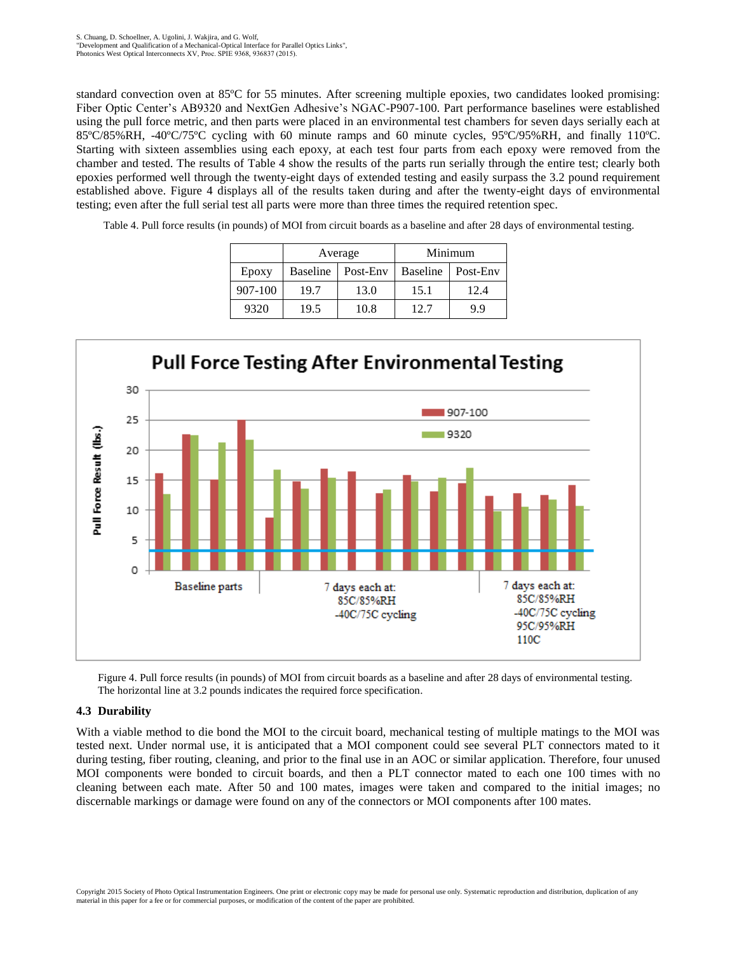standard convection oven at 85ºC for 55 minutes. After screening multiple epoxies, two candidates looked promising: Fiber Optic Center's AB9320 and NextGen Adhesive's NGAC-P907-100. Part performance baselines were established using the pull force metric, and then parts were placed in an environmental test chambers for seven days serially each at 85ºC/85%RH, -40ºC/75ºC cycling with 60 minute ramps and 60 minute cycles, 95ºC/95%RH, and finally 110ºC. Starting with sixteen assemblies using each epoxy, at each test four parts from each epoxy were removed from the chamber and tested. The results of Table 4 show the results of the parts run serially through the entire test; clearly both epoxies performed well through the twenty-eight days of extended testing and easily surpass the 3.2 pound requirement established above. Figure 4 displays all of the results taken during and after the twenty-eight days of environmental testing; even after the full serial test all parts were more than three times the required retention spec.

Table 4. Pull force results (in pounds) of MOI from circuit boards as a baseline and after 28 days of environmental testing.

|         |                 | Average  | Minimum         |          |  |
|---------|-----------------|----------|-----------------|----------|--|
| Epoxy   | <b>Baseline</b> | Post-Env | <b>Baseline</b> | Post-Env |  |
| 907-100 | 19.7            | 13.0     | 15.1            | 12.4     |  |
| 9320    | 19.5            | 10.8     | 12.7            | 99       |  |



Figure 4. Pull force results (in pounds) of MOI from circuit boards as a baseline and after 28 days of environmental testing. The horizontal line at 3.2 pounds indicates the required force specification.

#### **4.3 Durability**

With a viable method to die bond the MOI to the circuit board, mechanical testing of multiple matings to the MOI was tested next. Under normal use, it is anticipated that a MOI component could see several PLT connectors mated to it during testing, fiber routing, cleaning, and prior to the final use in an AOC or similar application. Therefore, four unused MOI components were bonded to circuit boards, and then a PLT connector mated to each one 100 times with no cleaning between each mate. After 50 and 100 mates, images were taken and compared to the initial images; no discernable markings or damage were found on any of the connectors or MOI components after 100 mates.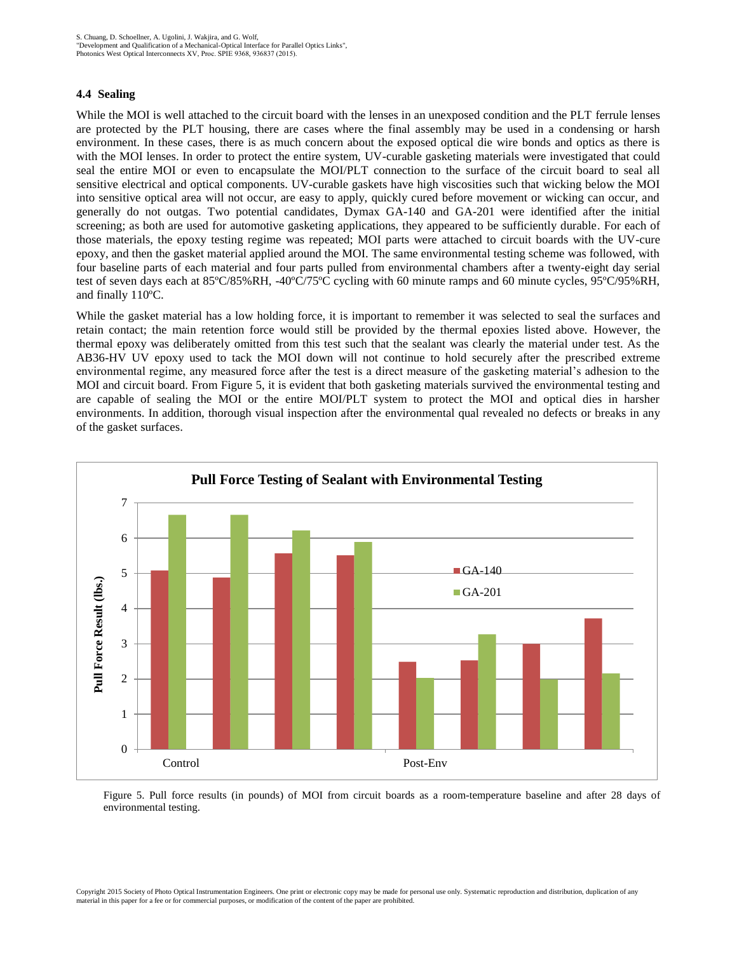#### **4.4 Sealing**

While the MOI is well attached to the circuit board with the lenses in an unexposed condition and the PLT ferrule lenses are protected by the PLT housing, there are cases where the final assembly may be used in a condensing or harsh environment. In these cases, there is as much concern about the exposed optical die wire bonds and optics as there is with the MOI lenses. In order to protect the entire system, UV-curable gasketing materials were investigated that could seal the entire MOI or even to encapsulate the MOI/PLT connection to the surface of the circuit board to seal all sensitive electrical and optical components. UV-curable gaskets have high viscosities such that wicking below the MOI into sensitive optical area will not occur, are easy to apply, quickly cured before movement or wicking can occur, and generally do not outgas. Two potential candidates, Dymax GA-140 and GA-201 were identified after the initial screening; as both are used for automotive gasketing applications, they appeared to be sufficiently durable. For each of those materials, the epoxy testing regime was repeated; MOI parts were attached to circuit boards with the UV-cure epoxy, and then the gasket material applied around the MOI. The same environmental testing scheme was followed, with four baseline parts of each material and four parts pulled from environmental chambers after a twenty-eight day serial test of seven days each at 85ºC/85%RH, -40ºC/75ºC cycling with 60 minute ramps and 60 minute cycles, 95ºC/95%RH, and finally 110ºC.

While the gasket material has a low holding force, it is important to remember it was selected to seal the surfaces and retain contact; the main retention force would still be provided by the thermal epoxies listed above. However, the thermal epoxy was deliberately omitted from this test such that the sealant was clearly the material under test. As the AB36-HV UV epoxy used to tack the MOI down will not continue to hold securely after the prescribed extreme environmental regime, any measured force after the test is a direct measure of the gasketing material's adhesion to the MOI and circuit board. From Figure 5, it is evident that both gasketing materials survived the environmental testing and are capable of sealing the MOI or the entire MOI/PLT system to protect the MOI and optical dies in harsher environments. In addition, thorough visual inspection after the environmental qual revealed no defects or breaks in any of the gasket surfaces.



Figure 5. Pull force results (in pounds) of MOI from circuit boards as a room-temperature baseline and after 28 days of environmental testing.